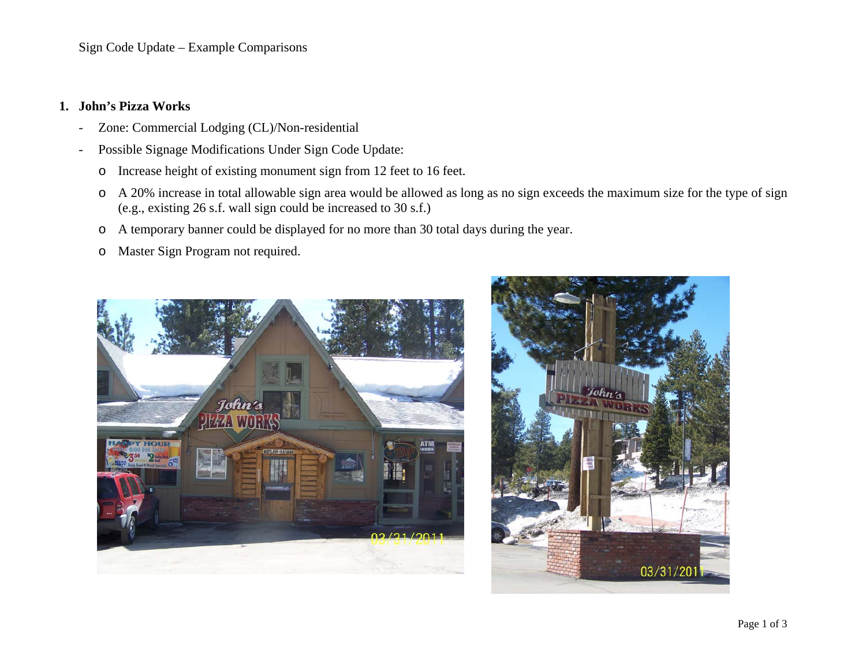Sign Code Update – Example Comparisons

## **1. John's Pizza Works**

- -Zone: Commercial Lodging (CL)/Non-residential
- Possible Signage Modifications Under Sign Code Update:
	- oIncrease height of existing monument sign from 12 feet to 16 feet.
	- o A 20% increase in total allowable sign area would be allowed as long as no sign exceeds the maximum size for the type of sign (e.g., existing 26 s.f. wall sign could be increased to 30 s.f.)
	- oA temporary banner could be displayed for no more than 30 total days during the year.
	- oMaster Sign Program not required.



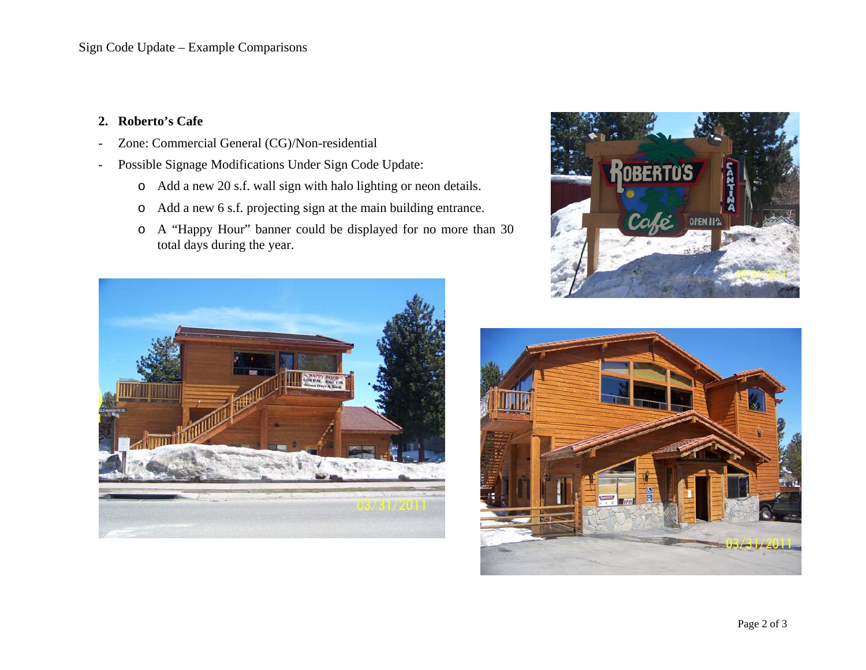## **2. Roberto's Cafe**

- -Zone: Commercial General (CG)/Non-residential
- - Possible Signage Modifications Under Sign Code Update:
	- o Add a new 20 s.f. wall sign with halo lighting or neon details.
	- oAdd a new 6 s.f. projecting sign at the main building entrance.
	- o A "Happy Hour" banner could be displayed for no more than 30 total days during the year.